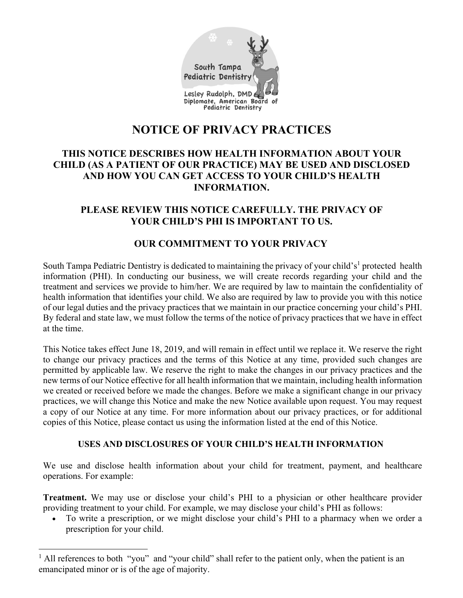

# **NOTICE OF PRIVACY PRACTICES**

# **THIS NOTICE DESCRIBES HOW HEALTH INFORMATION ABOUT YOUR CHILD (AS A PATIENT OF OUR PRACTICE) MAY BE USED AND DISCLOSED AND HOW YOU CAN GET ACCESS TO YOUR CHILD'S HEALTH INFORMATION.**

## **PLEASE REVIEW THIS NOTICE CAREFULLY. THE PRIVACY OF YOUR CHILD'S PHI IS IMPORTANT TO US.**

# **OUR COMMITMENT TO YOUR PRIVACY**

South Tampa Pediatric Dentistry is dedicated to maintaining the privacy of your child's<sup>1</sup> protected health information (PHI). In conducting our business, we will create records regarding your child and the treatment and services we provide to him/her. We are required by law to maintain the confidentiality of health information that identifies your child. We also are required by law to provide you with this notice of our legal duties and the privacy practices that we maintain in our practice concerning your child's PHI. By federal and state law, we must follow the terms of the notice of privacy practices that we have in effect at the time.

This Notice takes effect June 18, 2019, and will remain in effect until we replace it. We reserve the right to change our privacy practices and the terms of this Notice at any time, provided such changes are permitted by applicable law. We reserve the right to make the changes in our privacy practices and the new terms of our Notice effective for all health information that we maintain, including health information we created or received before we made the changes. Before we make a significant change in our privacy practices, we will change this Notice and make the new Notice available upon request. You may request a copy of our Notice at any time. For more information about our privacy practices, or for additional copies of this Notice, please contact us using the information listed at the end of this Notice.

#### **USES AND DISCLOSURES OF YOUR CHILD'S HEALTH INFORMATION**

We use and disclose health information about your child for treatment, payment, and healthcare operations. For example:

**Treatment.** We may use or disclose your child's PHI to a physician or other healthcare provider providing treatment to your child. For example, we may disclose your child's PHI as follows:

 To write a prescription, or we might disclose your child's PHI to a pharmacy when we order a prescription for your child.

<sup>&</sup>lt;sup>1</sup> All references to both "you" and "your child" shall refer to the patient only, when the patient is an emancipated minor or is of the age of majority.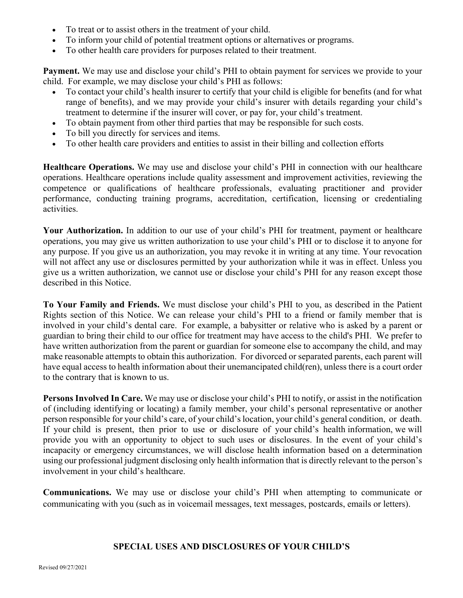- To treat or to assist others in the treatment of your child.
- To inform your child of potential treatment options or alternatives or programs.
- To other health care providers for purposes related to their treatment.

**Payment.** We may use and disclose your child's PHI to obtain payment for services we provide to your child. For example, we may disclose your child's PHI as follows:

- To contact your child's health insurer to certify that your child is eligible for benefits (and for what range of benefits), and we may provide your child's insurer with details regarding your child's treatment to determine if the insurer will cover, or pay for, your child's treatment.
- To obtain payment from other third parties that may be responsible for such costs.
- To bill you directly for services and items.
- To other health care providers and entities to assist in their billing and collection efforts

**Healthcare Operations.** We may use and disclose your child's PHI in connection with our healthcare operations. Healthcare operations include quality assessment and improvement activities, reviewing the competence or qualifications of healthcare professionals, evaluating practitioner and provider performance, conducting training programs, accreditation, certification, licensing or credentialing activities.

**Your Authorization.** In addition to our use of your child's PHI for treatment, payment or healthcare operations, you may give us written authorization to use your child's PHI or to disclose it to anyone for any purpose. If you give us an authorization, you may revoke it in writing at any time. Your revocation will not affect any use or disclosures permitted by your authorization while it was in effect. Unless you give us a written authorization, we cannot use or disclose your child's PHI for any reason except those described in this Notice.

**To Your Family and Friends.** We must disclose your child's PHI to you, as described in the Patient Rights section of this Notice. We can release your child's PHI to a friend or family member that is involved in your child's dental care. For example, a babysitter or relative who is asked by a parent or guardian to bring their child to our office for treatment may have access to the child's PHI. We prefer to have written authorization from the parent or guardian for someone else to accompany the child, and may make reasonable attempts to obtain this authorization. For divorced or separated parents, each parent will have equal access to health information about their unemancipated child(ren), unless there is a court order to the contrary that is known to us.

**Persons Involved In Care.** We may use or disclose your child's PHI to notify, or assist in the notification of (including identifying or locating) a family member, your child's personal representative or another person responsible for your child's care, of your child's location, your child's general condition, or death. If your child is present, then prior to use or disclosure of your child's health information, we will provide you with an opportunity to object to such uses or disclosures. In the event of your child's incapacity or emergency circumstances, we will disclose health information based on a determination using our professional judgment disclosing only health information that is directly relevant to the person's involvement in your child's healthcare.

**Communications.** We may use or disclose your child's PHI when attempting to communicate or communicating with you (such as in voicemail messages, text messages, postcards, emails or letters).

#### **SPECIAL USES AND DISCLOSURES OF YOUR CHILD'S**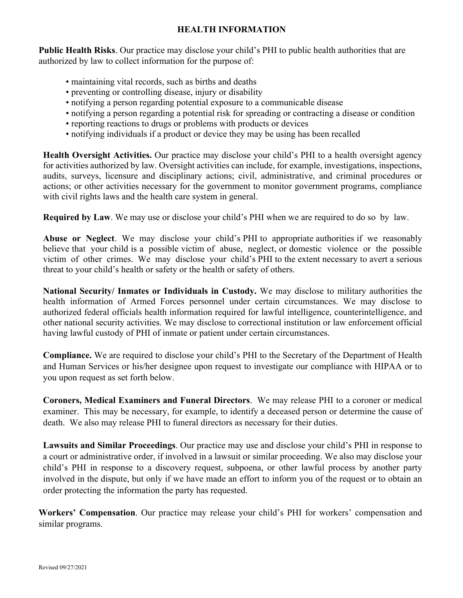#### **HEALTH INFORMATION**

**Public Health Risks**. Our practice may disclose your child's PHI to public health authorities that are authorized by law to collect information for the purpose of:

- maintaining vital records, such as births and deaths
- preventing or controlling disease, injury or disability
- notifying a person regarding potential exposure to a communicable disease
- notifying a person regarding a potential risk for spreading or contracting a disease or condition
- reporting reactions to drugs or problems with products or devices
- notifying individuals if a product or device they may be using has been recalled

**Health Oversight Activities.** Our practice may disclose your child's PHI to a health oversight agency for activities authorized by law. Oversight activities can include, for example, investigations, inspections, audits, surveys, licensure and disciplinary actions; civil, administrative, and criminal procedures or actions; or other activities necessary for the government to monitor government programs, compliance with civil rights laws and the health care system in general.

**Required by Law**. We may use or disclose your child's PHI when we are required to do so by law.

**Abuse or Neglect**. We may disclose your child's PHI to appropriate authorities if we reasonably believe that your child is a possible victim of abuse, neglect, or domestic violence or the possible victim of other crimes. We may disclose your child's PHI to the extent necessary to avert a serious threat to your child's health or safety or the health or safety of others.

**National Security/ Inmates or Individuals in Custody.** We may disclose to military authorities the health information of Armed Forces personnel under certain circumstances. We may disclose to authorized federal officials health information required for lawful intelligence, counterintelligence, and other national security activities. We may disclose to correctional institution or law enforcement official having lawful custody of PHI of inmate or patient under certain circumstances.

**Compliance.** We are required to disclose your child's PHI to the Secretary of the Department of Health and Human Services or his/her designee upon request to investigate our compliance with HIPAA or to you upon request as set forth below.

**Coroners, Medical Examiners and Funeral Directors**. We may release PHI to a coroner or medical examiner. This may be necessary, for example, to identify a deceased person or determine the cause of death. We also may release PHI to funeral directors as necessary for their duties.

**Lawsuits and Similar Proceedings**. Our practice may use and disclose your child's PHI in response to a court or administrative order, if involved in a lawsuit or similar proceeding. We also may disclose your child's PHI in response to a discovery request, subpoena, or other lawful process by another party involved in the dispute, but only if we have made an effort to inform you of the request or to obtain an order protecting the information the party has requested.

**Workers' Compensation**. Our practice may release your child's PHI for workers' compensation and similar programs.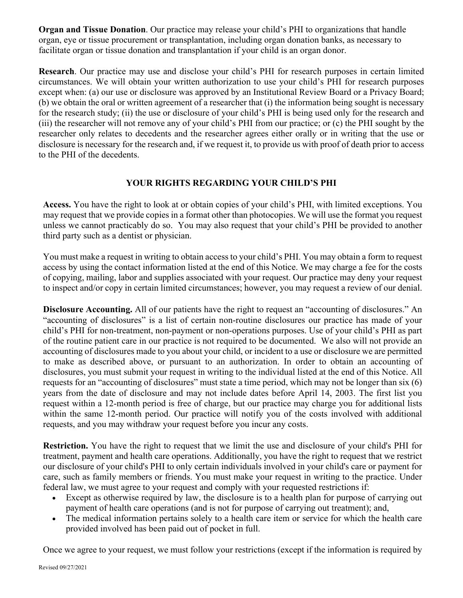**Organ and Tissue Donation**. Our practice may release your child's PHI to organizations that handle organ, eye or tissue procurement or transplantation, including organ donation banks, as necessary to facilitate organ or tissue donation and transplantation if your child is an organ donor.

**Research**. Our practice may use and disclose your child's PHI for research purposes in certain limited circumstances. We will obtain your written authorization to use your child's PHI for research purposes except when: (a) our use or disclosure was approved by an Institutional Review Board or a Privacy Board; (b) we obtain the oral or written agreement of a researcher that (i) the information being sought is necessary for the research study; (ii) the use or disclosure of your child's PHI is being used only for the research and (iii) the researcher will not remove any of your child's PHI from our practice; or (c) the PHI sought by the researcher only relates to decedents and the researcher agrees either orally or in writing that the use or disclosure is necessary for the research and, if we request it, to provide us with proof of death prior to access to the PHI of the decedents.

## **YOUR RIGHTS REGARDING YOUR CHILD'S PHI**

**Access.** You have the right to look at or obtain copies of your child's PHI, with limited exceptions. You may request that we provide copies in a format other than photocopies. We will use the format you request unless we cannot practicably do so. You may also request that your child's PHI be provided to another third party such as a dentist or physician.

You must make a request in writing to obtain access to your child's PHI. You may obtain a form to request access by using the contact information listed at the end of this Notice. We may charge a fee for the costs of copying, mailing, labor and supplies associated with your request. Our practice may deny your request to inspect and/or copy in certain limited circumstances; however, you may request a review of our denial.

**Disclosure Accounting.** All of our patients have the right to request an "accounting of disclosures." An "accounting of disclosures" is a list of certain non-routine disclosures our practice has made of your child's PHI for non-treatment, non-payment or non-operations purposes. Use of your child's PHI as part of the routine patient care in our practice is not required to be documented. We also will not provide an accounting of disclosures made to you about your child, or incident to a use or disclosure we are permitted to make as described above, or pursuant to an authorization. In order to obtain an accounting of disclosures, you must submit your request in writing to the individual listed at the end of this Notice. All requests for an "accounting of disclosures" must state a time period, which may not be longer than six (6) years from the date of disclosure and may not include dates before April 14, 2003. The first list you request within a 12-month period is free of charge, but our practice may charge you for additional lists within the same 12-month period. Our practice will notify you of the costs involved with additional requests, and you may withdraw your request before you incur any costs.

**Restriction.** You have the right to request that we limit the use and disclosure of your child's PHI for treatment, payment and health care operations. Additionally, you have the right to request that we restrict our disclosure of your child's PHI to only certain individuals involved in your child's care or payment for care, such as family members or friends. You must make your request in writing to the practice. Under federal law, we must agree to your request and comply with your requested restrictions if:

- Except as otherwise required by law, the disclosure is to a health plan for purpose of carrying out payment of health care operations (and is not for purpose of carrying out treatment); and,
- The medical information pertains solely to a health care item or service for which the health care provided involved has been paid out of pocket in full.

Once we agree to your request, we must follow your restrictions (except if the information is required by